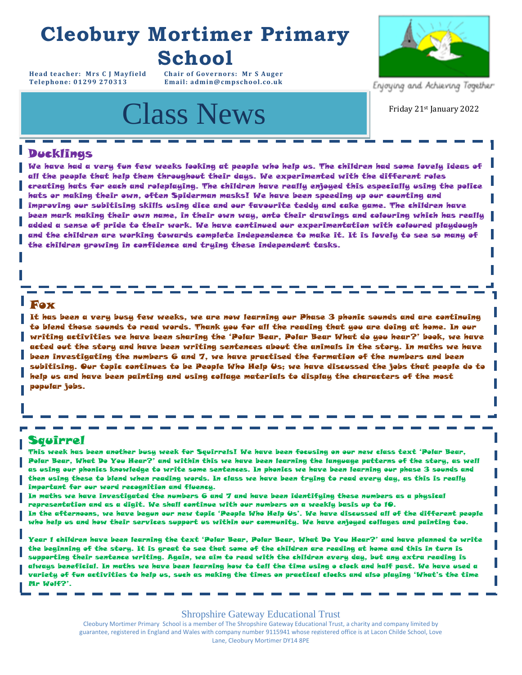## **Cleobury Mortimer Primary School**

**Head teacher: Mrs C J Mayfield Chair of Governors: Mr S Auger** Email: admin@cmpschool.co.uk

## Class News **Class News** Friday 21st January 2022



Enjoying and Achieving Together

#### Ducklings

We have had a very fun few weeks looking at people who help us. The children had some lovely ideas of all the people that help them throughout their days. We experimented with the different roles creating hats for each and roleplaying. The children have really enjoyed this especially using the police hats or making their own, often Spiderman masks! We have been speeding up our counting and improving our subitising skills using dice and our favourite teddy and cake game. The children have been mark making their own name, in their own way, onto their drawings and colouring which has really added a sense of pride to their work. We have continued our experimentation with coloured playdough and the children are working towards complete independence to make it. It is lovely to see so many of the children growing in confidence and trying these independent tasks.

#### Fox

It has been a very busy few weeks, we are now learning our Phase 3 phonic sounds and are continuing to blend those sounds to read words. Thank you for all the reading that you are doing at home. In our writing activities we have been sharing the 'Polar Bear, Polar Bear What do you hear?' book, we have acted out the story and have been writing sentences about the animals in the story. In maths we have been investigating the numbers 6 and 7, we have practised the formation of the numbers and been subitising. Our topic continues to be People Who Help Us; we have discussed the jobs that people do to help us and have been painting and using collage materials to display the characters of the most popular jobs.

#### Squirrel

This week has been another busy week for Squirrels! We have been focusing on our new class text 'Polar Bear, Polar Bear, What Do You Hear?' and within this we have been learning the language patterns of the story, as well as using our phonics knowledge to write some sentences. In phonics we have been learning our phase 3 sounds and then using these to blend when reading words. In class we have been trying to read every day, as this is really important for our word recognition and fluency.

In maths we have investigated the numbers 6 and 7 and have been identifying these numbers as a physical representation and as a digit. We shall continue with our numbers on a weekly basis up to 10.

In the afternoons, we have begun our new topic 'People Who Help Us'. We have discussed all of the different people who help us and how their services support us within our community. We have enjoyed collages and painting too.

Year 1 children have been learning the text 'Polar Bear, Polar Bear, What Do You Hear?' and have planned to write the beginning of the story. It is great to see that some of the children are reading at home and this in turn is supporting their sentence writing. Again, we aim to read with the children every day, but any extra reading is always beneficial. In maths we have been learning how to tell the time using o clock and half past. We have used a variety of fun activities to help us, such as making the times on practical clocks and also playing 'What's the time Mr Wolf?'.

Shropshire Gateway Educational Trust

Cleobury Mortimer Primary School is a member of The Shropshire Gateway Educational Trust, a charity and company limited by guarantee, registered in England and Wales with company number 9115941 whose registered office is at Lacon Childe School, Love<br>Lane, Cleobury Mortimer DY14 8PE Lane, Cleobury Mortimer DY14 8PE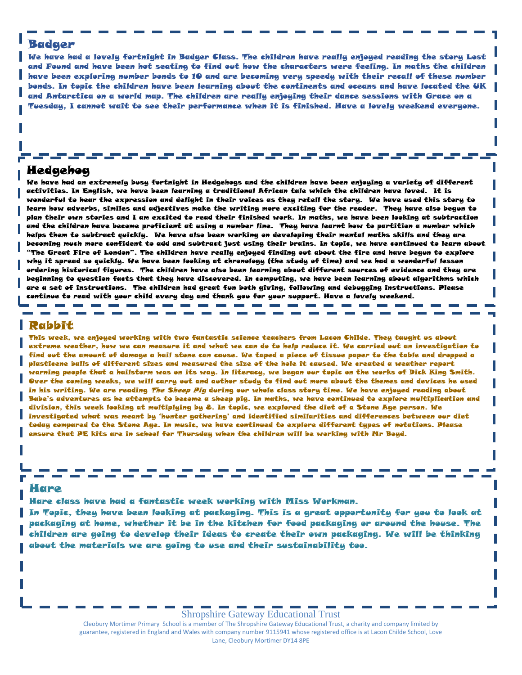#### Badger

We have had a lovely fortnight in Badger Class. The children have really enjoyed reading the story Lost and Found and have been hot seating to find out how the characters were feeling. In maths the children have been exploring number bonds to 10 and are becoming very speedy with their recall of these number bonds. In topic the children have been learning about the continents and oceans and have located the UK and Antarctica on a world map. The children are really enjoying their dance sessions with Grace on a Tuesday, I cannot wait to see their performance when it is finished. Have a lovely weekend everyone.

### **For your** Hedgehog

**Calendar:**  We have had an extremely busy fortnight in Hedgehogs and the children have been enjoying a variety of different activities. In English, we have been learning a traditional African tale which the children have loved. It is wonderful to hear the expression and delight in their voices as they retell the story. We have used this story to learn how adverbs, similes and adjectives make the writing more exciting for the reader. They have also begun to plan their own stories and I am excited to read their finished work. In maths, we have been looking at subtraction and the children have become proficient at using a number line. They have learnt how to partition a number which helps them to subtract quickly. We have also been working on developing their mental maths skills and they are becoming much more confident to add and subtract just using their brains. In topic, we have continued to learn about "The Great Fire of London". The children have really enjoyed finding out about the fire and have begun to explore why it spread so quickly. We have been looking at chronology (the study of time) and we had a wonderful lesson ordering historical figures. The children have also been learning about different sources of evidence and they are beginning to question facts that they have discovered. In computing, we have been learning about algorithms which are a set of instructions. The children had great fun both giving, following and debugging instructions. Please continue to read with your child every day and thank you for your support. Have a lovely weekend.

 $\mathcal{L}_{\rm{max}}$ 

\_ \_ \_ \_ \_ \_

#### Rabbit

This week, we enjoyed working with two fantastic science teachers from Lacon Childe. They taught us about extreme weather, how we can measure it and what we can do to help reduce it. We carried out an investigation to find out the amount of damage a hail stone can cause. We taped a piece of tissue paper to the table and dropped a plasticene balls of different sizes and measured the size of the hole it caused. We created a weather report warning people that a hailstorm was on its way. In literacy, we began our topic on the works of Dick King Smith. Over the coming weeks, we will carry out and author study to find out more about the themes and devices he used in his writing. We are reading The Sheep Pig during our whole class story time. We have enjoyed reading about Babe's adventures as he attempts to become a sheep pig. In maths, we have continued to explore multiplication and division, this week looking at multiplying by 8. In topic, we explored the diet of a Stone Age person. We investigated what was meant by 'hunter gathering' and identified similarities and differences between our diet today compared to the Stone Age. In music, we have continued to explore different types of notations. Please ensure that PE kits are in school for Thursday when the children will be working with Mr Boyd.

#### Hare

Hare class have had a fantastic week working with Miss Workman.

and the

In Topic, they have been looking at packaging. This is a great opportunity for you to look at packaging at home, whether it be in the kitchen for food packaging or around the house. The children are going to develop their ideas to create their own packaging. We will be thinking about the materials we are going to use and their sustainability too.

#### Shropshire Gateway Educational Trust

Cleobury Mortimer Primary School is a member of The Shropshire Gateway Educational Trust, a charity and company limited by guarantee, registered in England and Wales with company number 9115941 whose registered office is at Lacon Childe School, Love Lane, Cleobury Mortimer DY14 8PE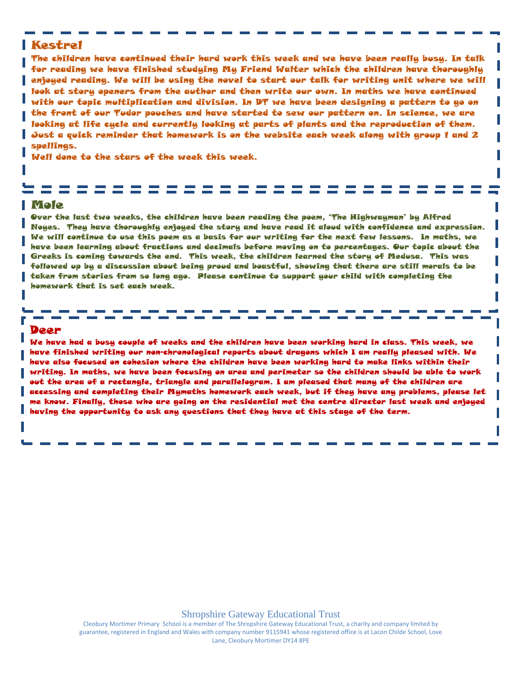#### Kestrel

The children have continued their hard work this week and we have been really busy. In talk for reading we have finished studying My Friend Walter which the children have thoroughly enjoyed reading. We will be using the novel to start our talk for writing unit where we will look at story openers from the author and then write our own. In maths we have continued with our topic multiplication and division. In DT we have been designing a pattern to go on the front of our Tudor pouches and have started to sew our pattern on. In science, we are looking at life cycle and currently looking at parts of plants and the reproduction of them. Just a quick reminder that homework is on the website each week along with group 1 and 2 spellings.

Well done to the stars of the week this week.

#### Mole

Over the last two weeks, the children have been reading the poem, 'The Highwayman' by Alfred Noyes. They have thoroughly enjoyed the story and have read it aloud with confidence and expression. We will continue to use this poem as a basis for our writing for the next few lessons. In maths, we have been learning about fractions and decimals before moving on to percentages. Our topic about the Greeks is coming towards the end. This week, the children learned the story of Medusa. This was followed up by a discussion about being proud and boastful, showing that there are still morals to be taken from stories from so long ago. Please continue to support your child with completing the homework that is set each week.

#### Deer

We have had a busy couple of weeks and the children have been working hard in class. This week, we have finished writing our non-chronological reports about dragons which I am really pleased with. We have also focused on cohesion where the children have been working hard to make links within their writing. In maths, we have been focusing on area and perimeter so the children should be able to work out the area of a rectangle, triangle and parallelogram. I am pleased that many of the children are accessing and completing their Mymaths homework each week, but if they have any problems, please let me know. Finally, those who are going on the residential met the centre director last week and enjoyed having the opportunity to ask any questions that they have at this stage of the term.

Cleobury Mortimer Primary School is a member of The Shropshire Gateway Educational Trust, a charity and company limited by guarantee, registered in England and Wales with company number 9115941 whose registered office is at Lacon Childe School, Love Lane, Cleobury Mortimer DY14 8PE